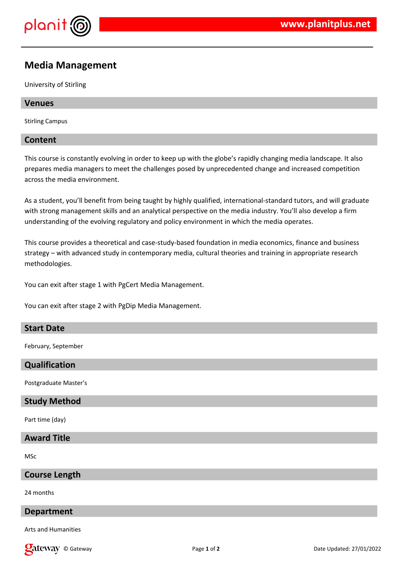

# **Media Management**

University of Stirling

# **Venues**

Stirling Campus

# **Content**

This course is constantly evolving in order to keep up with the globe's rapidly changing media landscape. It also prepares media managers to meet the challenges posed by unprecedented change and increased competition across the media environment.

As a student, you'll benefit from being taught by highly qualified, international-standard tutors, and will graduate with strong management skills and an analytical perspective on the media industry. You'll also develop a firm understanding of the evolving regulatory and policy environment in which the media operates.

This course provides a theoretical and case-study-based foundation in media economics, finance and business strategy – with advanced study in contemporary media, cultural theories and training in appropriate research methodologies.

You can exit after stage 1 with PgCert Media Management.

You can exit after stage 2 with PgDip Media Management.

### **Start Date**

February, September

# **Qualification**

Postgraduate Master's

## **Study Method**

Part time (day)

# **Award Title**

MSc

## **Course Length**

24 months

# **Department**

Arts and Humanities